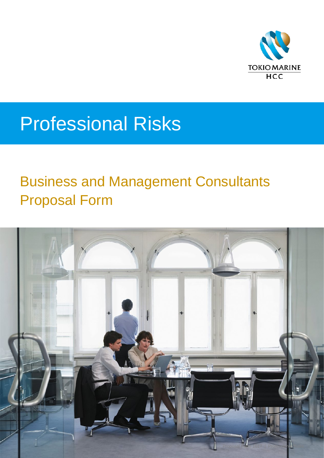

# Professional Risks

## Business and Management Consultants Proposal Form

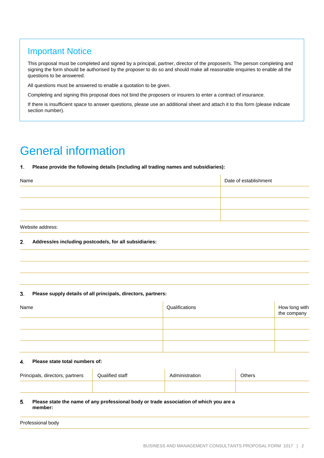### Important Notice

This proposal must be completed and signed by a principal, partner, director of the proposer/s. The person completing and signing the form should be authorised by the proposer to do so and should make all reasonable enquiries to enable all the questions to be answered.

All questions must be answered to enable a quotation to be given.

Completing and signing this proposal does not bind the proposers or insurers to enter a contract of insurance.

If there is insufficient space to answer questions, please use an additional sheet and attach it to this form (please indicate section number).

## General information

#### $\mathbf{1}$ **Please provide the following details (including all trading names and subsidiaries):**

| Name | Date of establishment |
|------|-----------------------|
|      |                       |
|      |                       |
|      |                       |

Website address:

#### $2.$ **Address/es including postcode/s, for all subsidiaries:**

#### $\mathbf{3}$ **Please supply details of all principals, directors, partners:**

| Name | Qualifications | How long with<br>the company |
|------|----------------|------------------------------|
|      |                |                              |
|      |                |                              |
|      |                |                              |

#### 4. **Please state total numbers of:**

| Principals, directors, partners | Qualified staff | Administration | Others |
|---------------------------------|-----------------|----------------|--------|
|                                 |                 |                |        |

#### 5. **Please state the name of any professional body or trade association of which you are a member:**

| Professional body |  |
|-------------------|--|
|                   |  |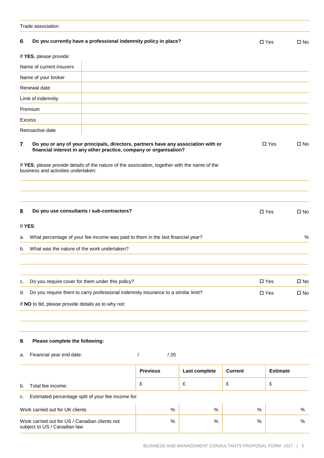|          | Trade association                                                                                                                                                                                                                                                                                 |                   |               |                |                                |                              |
|----------|---------------------------------------------------------------------------------------------------------------------------------------------------------------------------------------------------------------------------------------------------------------------------------------------------|-------------------|---------------|----------------|--------------------------------|------------------------------|
| 6.       | Do you currently have a professional indemnity policy in place?                                                                                                                                                                                                                                   |                   |               |                | $\Box$ Yes                     | $\square$ No                 |
|          | If YES, please provide:                                                                                                                                                                                                                                                                           |                   |               |                |                                |                              |
|          | Name of current insurers                                                                                                                                                                                                                                                                          |                   |               |                |                                |                              |
|          | Name of your broker                                                                                                                                                                                                                                                                               |                   |               |                |                                |                              |
|          | Renewal date                                                                                                                                                                                                                                                                                      |                   |               |                |                                |                              |
|          | Limit of indemnity                                                                                                                                                                                                                                                                                |                   |               |                |                                |                              |
|          | Premium                                                                                                                                                                                                                                                                                           |                   |               |                |                                |                              |
|          | Excess                                                                                                                                                                                                                                                                                            |                   |               |                |                                |                              |
|          | Retroactive date                                                                                                                                                                                                                                                                                  |                   |               |                |                                |                              |
| 7.       | Do you or any of your principals, directors, partners have any association with or<br>financial interest in any other practice, company or organisation?<br>If YES, please provide details of the nature of the association, together with the name of the<br>business and activities undertaken: |                   |               |                | $\Box$ Yes                     | $\square$ No                 |
| 8.<br>a. | Do you use consultants / sub-contractors?<br>If YES:<br>What percentage of your fee income was paid to them in the last financial year?                                                                                                                                                           |                   |               |                | $\Box$ Yes                     | $\square$ No<br>%            |
| b.       | What was the nature of the work undertaken?                                                                                                                                                                                                                                                       |                   |               |                |                                |                              |
| c.<br>d. | Do you require cover for them under this policy?<br>Do you require them to carry professional indemnity insurance to a similar limit?<br>If NO to 8d, please provide details as to why not:                                                                                                       |                   |               |                | $\square$ Yes<br>$\square$ Yes | $\square$ No<br>$\square$ No |
| 9.<br>а. | Please complete the following:<br>Financial year end date:                                                                                                                                                                                                                                        | $\sqrt{2}$<br>/20 |               |                |                                |                              |
|          |                                                                                                                                                                                                                                                                                                   |                   |               |                |                                |                              |
|          |                                                                                                                                                                                                                                                                                                   | <b>Previous</b>   | Last complete | <b>Current</b> | <b>Estimate</b>                |                              |
| b.       | Total fee income:                                                                                                                                                                                                                                                                                 | £                 | £             | £              | £                              |                              |

c. Estimated percentage split of your fee income for:

| Work carried out for UK clients                                                | % | $\%$ | % | % |
|--------------------------------------------------------------------------------|---|------|---|---|
| Work carried out for US / Canadian clients not<br>subject to US / Canadian law | % | $\%$ | % | % |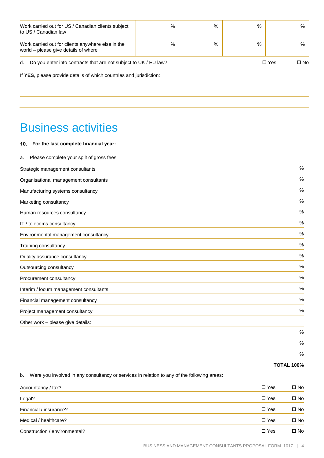| Work carried out for US / Canadian clients subject<br>to US / Canadian law                | $\%$ | %                  | % | % |  |  |
|-------------------------------------------------------------------------------------------|------|--------------------|---|---|--|--|
| Work carried out for clients anywhere else in the<br>world - please give details of where | $\%$ | %                  | % | % |  |  |
| Do you enter into contracts that are not subject to UK / EU law?<br>d.                    |      | $\Box$ Yes<br>□ No |   |   |  |  |
| If YES, please provide details of which countries and jurisdiction:                       |      |                    |   |   |  |  |
|                                                                                           |      |                    |   |   |  |  |

### Business activities

#### **For the last complete financial year:**

| Please complete your spilt of gross fees:<br>а. |      |
|-------------------------------------------------|------|
| Strategic management consultants                | %    |
| Organisational management consultants           | $\%$ |
| Manufacturing systems consultancy               | %    |
| Marketing consultancy                           | %    |
| Human resources consultancy                     | %    |
| IT / telecoms consultancy                       | %    |
| Environmental management consultancy            | %    |
| Training consultancy                            | %    |
| Quality assurance consultancy                   | %    |
| Outsourcing consultancy                         | $\%$ |
| Procurement consultancy                         | $\%$ |
| Interim / locum management consultants          | %    |
| Financial management consultancy                | %    |
| Project management consultancy                  | %    |
| Other work - please give details:               |      |
|                                                 | %    |
|                                                 | %    |
|                                                 | %    |
|                                                 |      |

**TOTAL 100%**

b. Were you involved in any consultancy or services in relation to any of the following areas:

| Accountancy / tax?            | $\Box$ Yes    | □ No         |
|-------------------------------|---------------|--------------|
| Legal?                        | $\square$ Yes | $\square$ No |
| Financial / insurance?        | $\square$ Yes | $\square$ No |
| Medical / healthcare?         | $\Box$ Yes    | $\square$ No |
| Construction / environmental? | $\square$ Yes | □ No         |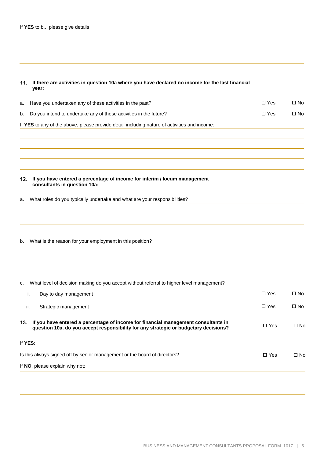|  |  |  | If YES to b., please give details |  |  |
|--|--|--|-----------------------------------|--|--|
|--|--|--|-----------------------------------|--|--|

**If there are activities in question 10a where you have declared no income for the last financial year:**

| а.  | Have you undertaken any of these activities in the past?                                                                                                                   | $\square$ Yes | $\square$ No |
|-----|----------------------------------------------------------------------------------------------------------------------------------------------------------------------------|---------------|--------------|
| b.  | Do you intend to undertake any of these activities in the future?                                                                                                          | $\square$ Yes | $\square$ No |
|     | If YES to any of the above, please provide detail including nature of activities and income:                                                                               |               |              |
|     |                                                                                                                                                                            |               |              |
|     |                                                                                                                                                                            |               |              |
|     |                                                                                                                                                                            |               |              |
| 12. | If you have entered a percentage of income for interim / locum management<br>consultants in question 10a:                                                                  |               |              |
| a.  | What roles do you typically undertake and what are your responsibilities?                                                                                                  |               |              |
|     |                                                                                                                                                                            |               |              |
|     |                                                                                                                                                                            |               |              |
| b.  | What is the reason for your employment in this position?                                                                                                                   |               |              |
|     |                                                                                                                                                                            |               |              |
|     |                                                                                                                                                                            |               |              |
| c.  | What level of decision making do you accept without referral to higher level management?                                                                                   |               |              |
|     | Day to day management<br>i.                                                                                                                                                | $\Box$ Yes    | $\square$ No |
|     | ii.<br>Strategic management                                                                                                                                                | $\square$ Yes | $\square$ No |
| 13. | If you have entered a percentage of income for financial management consultants in<br>question 10a, do you accept responsibility for any strategic or budgetary decisions? | $\square$ Yes | $\square$ No |
|     | If YES:                                                                                                                                                                    |               |              |
|     | Is this always signed off by senior management or the board of directors?                                                                                                  | $\square$ Yes | $\square$ No |
|     | If NO, please explain why not:                                                                                                                                             |               |              |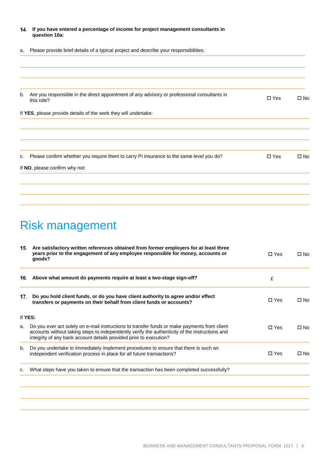|    | 14. If you have entered a percentage of income for project management consultants in<br>question 10a:      |               |              |
|----|------------------------------------------------------------------------------------------------------------|---------------|--------------|
| а. | Please provide brief details of a typical project and describe your responsibilities:                      |               |              |
|    |                                                                                                            |               |              |
| b. | Are you responsible in the direct appointment of any advisory or professional consultants in<br>this role? | $\square$ Yes | $\square$ No |
|    | If YES, please provide details of the work they will undertake:                                            |               |              |
| c. | Please confirm whether you require them to carry PI insurance to the same level you do?                    | $\square$ Yes | $\square$ No |
|    | If NO, please confirm why not:                                                                             |               |              |
|    |                                                                                                            |               |              |

## Risk management

|     | 15. Are satisfactory written references obtained from former employers for at least three<br>years prior to the engagement of any employee responsible for money, accounts or<br>goods?                                                                              | $\Box$ Yes    | □ No         |
|-----|----------------------------------------------------------------------------------------------------------------------------------------------------------------------------------------------------------------------------------------------------------------------|---------------|--------------|
| 16. | Above what amount do payments require at least a two-stage sign-off?                                                                                                                                                                                                 | £             |              |
| 17. | Do you hold client funds, or do you have client authority to agree and/or effect<br>transfers or payments on their behalf from client funds or accounts?                                                                                                             | $\Box$ Yes    | $\Box$ No    |
|     | If YES:                                                                                                                                                                                                                                                              |               |              |
| a.  | Do you ever act solely on e-mail instructions to transfer funds or make payments from client<br>accounts without taking steps to independently verify the authenticity of the instructions and<br>integrity of any bank account details provided prior to execution? | $\Box$ Yes    | $\square$ No |
| b.  | Do you undertake to immediately implement procedures to ensure that there is such an<br>independent verification process in place for all future transactions?                                                                                                       | $\square$ Yes | $\square$ No |
| c.  | What steps have you taken to ensure that the transaction has been completed successfully?                                                                                                                                                                            |               |              |
|     |                                                                                                                                                                                                                                                                      |               |              |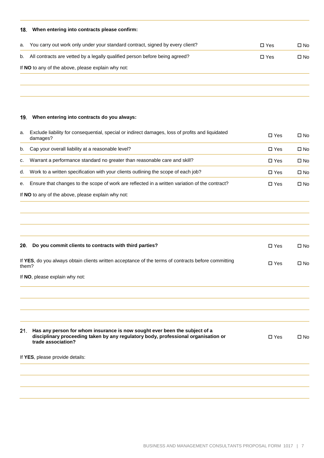### **When entering into contracts please confirm:**

| а. | You carry out work only under your standard contract, signed by every client? | $\Box$ Yes    | □ No |
|----|-------------------------------------------------------------------------------|---------------|------|
| b. | All contracts are vetted by a legally qualified person before being agreed?   | $\square$ Yes | □ No |
|    | If NO to any of the above, please explain why not:                            |               |      |
|    |                                                                               |               |      |

### **When entering into contracts do you always:**

| а. | Exclude liability for consequential, special or indirect damages, loss of profits and liquidated<br>damages? | $\Box$ Yes | □ No |
|----|--------------------------------------------------------------------------------------------------------------|------------|------|
| b. | Cap your overall liability at a reasonable level?                                                            | $\Box$ Yes | □ No |
| C. | Warrant a performance standard no greater than reasonable care and skill?                                    | $\Box$ Yes | □ No |
| d. | Work to a written specification with your clients outlining the scope of each job?                           | $\Box$ Yes | □ No |
| e. | Ensure that changes to the scope of work are reflected in a written variation of the contract?               | $\Box$ Yes | □ No |

If **NO** to any of the above, please explain why not:

| Do you commit clients to contracts with third parties?<br>20.                                                                                                                                 | $\Box$ Yes    | $\square$ No |
|-----------------------------------------------------------------------------------------------------------------------------------------------------------------------------------------------|---------------|--------------|
| If YES, do you always obtain clients written acceptance of the terms of contracts before committing<br>them?                                                                                  | $\square$ Yes | $\square$ No |
| If NO, please explain why not:                                                                                                                                                                |               |              |
|                                                                                                                                                                                               |               |              |
|                                                                                                                                                                                               |               |              |
|                                                                                                                                                                                               |               |              |
| Has any person for whom insurance is now sought ever been the subject of a<br>21.<br>disciplinary proceeding taken by any regulatory body, professional organisation or<br>trade association? | $\Box$ Yes    | $\square$ No |
| If YES, please provide details:                                                                                                                                                               |               |              |
|                                                                                                                                                                                               |               |              |
|                                                                                                                                                                                               |               |              |
|                                                                                                                                                                                               |               |              |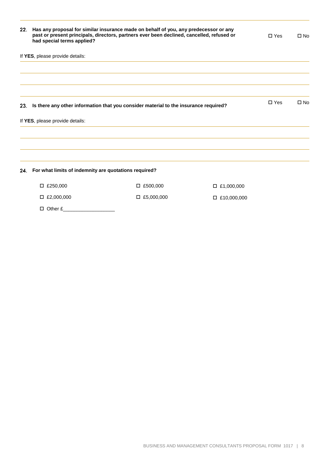| 22. | had special terms applied?                            | Has any proposal for similar insurance made on behalf of you, any predecessor or any<br>past or present principals, directors, partners ever been declined, cancelled, refused or |                    | $\Box$ Yes    | $\square$ No |
|-----|-------------------------------------------------------|-----------------------------------------------------------------------------------------------------------------------------------------------------------------------------------|--------------------|---------------|--------------|
|     | If YES, please provide details:                       |                                                                                                                                                                                   |                    |               |              |
|     |                                                       |                                                                                                                                                                                   |                    |               |              |
| 23. |                                                       | Is there any other information that you consider material to the insurance required?                                                                                              |                    | $\square$ Yes | $\square$ No |
|     | If YES, please provide details:                       |                                                                                                                                                                                   |                    |               |              |
|     |                                                       |                                                                                                                                                                                   |                    |               |              |
| 24. | For what limits of indemnity are quotations required? |                                                                                                                                                                                   |                    |               |              |
|     | $\Box$ £250,000                                       | $\Box$ £500,000                                                                                                                                                                   | $\Box$ £1,000,000  |               |              |
|     | $\Box$ £2,000,000                                     | $\Box$ £5,000,000                                                                                                                                                                 | $\Box$ £10,000,000 |               |              |
|     | $\Box$ Other £                                        |                                                                                                                                                                                   |                    |               |              |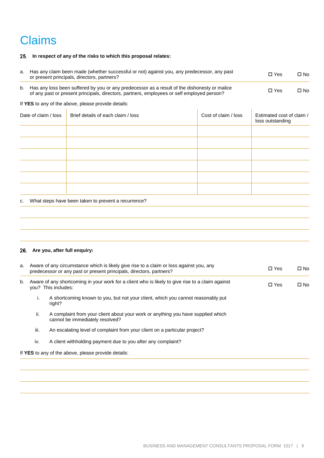## Claims

#### **In respect of any of the risks to which this proposal relates:**

| a. |                      | Has any claim been made (whether successful or not) against you, any predecessor, any past<br>or present principals, directors, partners?                                                  |                      | $\Box$ Yes                                    | $\square$ No |
|----|----------------------|--------------------------------------------------------------------------------------------------------------------------------------------------------------------------------------------|----------------------|-----------------------------------------------|--------------|
| b. |                      | Has any loss been suffered by you or any predecessor as a result of the dishonesty or malice<br>of any past or present principals, directors, partners, employees or self employed person? |                      | $\Box$ Yes                                    | $\square$ No |
|    |                      | If YES to any of the above, please provide details:                                                                                                                                        |                      |                                               |              |
|    | Date of claim / loss | Brief details of each claim / loss                                                                                                                                                         | Cost of claim / loss | Estimated cost of claim /<br>loss outstanding |              |
|    |                      |                                                                                                                                                                                            |                      |                                               |              |
|    |                      |                                                                                                                                                                                            |                      |                                               |              |
|    |                      |                                                                                                                                                                                            |                      |                                               |              |
|    |                      |                                                                                                                                                                                            |                      |                                               |              |
|    |                      |                                                                                                                                                                                            |                      |                                               |              |
|    |                      |                                                                                                                                                                                            |                      |                                               |              |
| c. |                      | What steps have been taken to prevent a recurrence?                                                                                                                                        |                      |                                               |              |
|    |                      |                                                                                                                                                                                            |                      |                                               |              |

### **Are you, after full enquiry:**

| a. |      | Aware of any circumstance which is likely give rise to a claim or loss against you, any<br>predecessor or any past or present principals, directors, partners? | $\Box$ Yes | $\square$ No |
|----|------|----------------------------------------------------------------------------------------------------------------------------------------------------------------|------------|--------------|
| b. |      | Aware of any shortcoming in your work for a client who is likely to give rise to a claim against<br>you? This includes:                                        | $\Box$ Yes | □ No         |
|    | ι.   | A shortcoming known to you, but not your client, which you cannot reasonably put<br>right?                                                                     |            |              |
|    | ii.  | A complaint from your client about your work or anything you have supplied which<br>cannot be immediately resolved?                                            |            |              |
|    | iii. | An escalating level of complaint from your client on a particular project?                                                                                     |            |              |
|    | iv.  | A client withholding payment due to you after any complaint?                                                                                                   |            |              |
|    |      | If YES to any of the above, please provide details:                                                                                                            |            |              |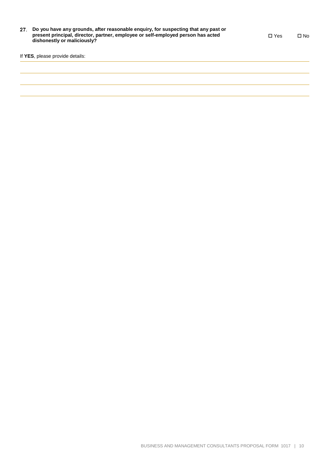| 27. Do you have any grounds, after reasonable enquiry, for suspecting that any past or |
|----------------------------------------------------------------------------------------|
| present principal, director, partner, employee or self-employed person has acted       |
| dishonestly or maliciously?                                                            |
|                                                                                        |

Yes No

If **YES**, please provide details: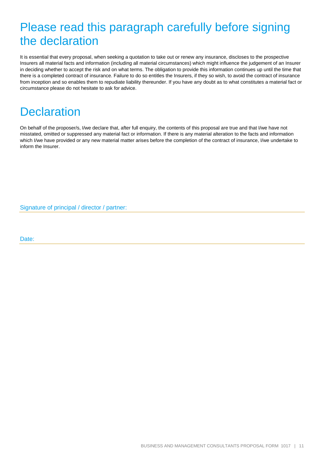## Please read this paragraph carefully before signing the declaration

It is essential that every proposal, when seeking a quotation to take out or renew any insurance, discloses to the prospective Insurers all material facts and information (including all material circumstances) which might influence the judgement of an Insurer in deciding whether to accept the risk and on what terms. The obligation to provide this information continues up until the time that there is a completed contract of insurance. Failure to do so entitles the Insurers, if they so wish, to avoid the contract of insurance from inception and so enables them to repudiate liability thereunder. If you have any doubt as to what constitutes a material fact or circumstance please do not hesitate to ask for advice.

### **Declaration**

On behalf of the proposer/s, I/we declare that, after full enquiry, the contents of this proposal are true and that I/we have not misstated, omitted or suppressed any material fact or information. If there is any material alteration to the facts and information which I/we have provided or any new material matter arises before the completion of the contract of insurance, I/we undertake to inform the Insurer.

Signature of principal / director / partner:

Date: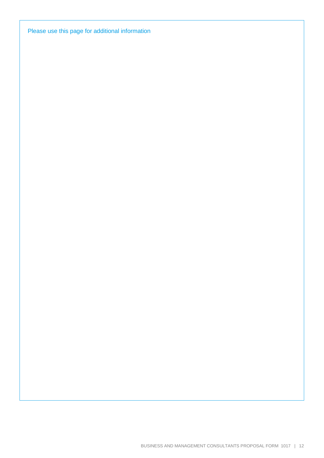Please use this page for additional information